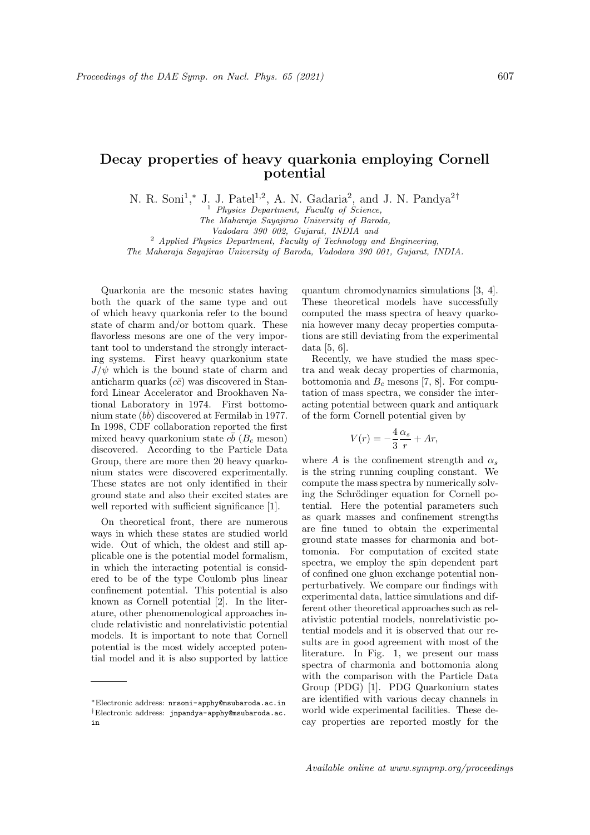## Decay properties of heavy quarkonia employing Cornell potential

N. R. Soni<sup>1</sup>,\* J. J. Patel<sup>1,2</sup>, A. N. Gadaria<sup>2</sup>, and J. N. Pandya<sup>2†</sup>

<sup>1</sup> Physics Department, Faculty of Science,

The Maharaja Sayajirao University of Baroda,

Vadodara 390 002, Gujarat, INDIA and

 $2$  Applied Physics Department, Faculty of Technology and Engineering,

The Maharaja Sayajirao University of Baroda, Vadodara 390 001, Gujarat, INDIA.

Quarkonia are the mesonic states having both the quark of the same type and out of which heavy quarkonia refer to the bound state of charm and/or bottom quark. These flavorless mesons are one of the very important tool to understand the strongly interacting systems. First heavy quarkonium state  $J/\psi$  which is the bound state of charm and anticharm quarks  $(c\bar{c})$  was discovered in Stanford Linear Accelerator and Brookhaven National Laboratory in 1974. First bottomonium state  $(b\bar{b})$  discovered at Fermilab in 1977. In 1998, CDF collaboration reported the first mixed heavy quarkonium state  $c\bar{b}$  ( $B_c$  meson) discovered. According to the Particle Data Group, there are more then 20 heavy quarkonium states were discovered experimentally. These states are not only identified in their ground state and also their excited states are well reported with sufficient significance [1].

On theoretical front, there are numerous ways in which these states are studied world wide. Out of which, the oldest and still applicable one is the potential model formalism, in which the interacting potential is considered to be of the type Coulomb plus linear confinement potential. This potential is also known as Cornell potential [2]. In the literature, other phenomenological approaches include relativistic and nonrelativistic potential models. It is important to note that Cornell potential is the most widely accepted potential model and it is also supported by lattice quantum chromodynamics simulations [3, 4]. These theoretical models have successfully computed the mass spectra of heavy quarkonia however many decay properties computations are still deviating from the experimental data [5, 6].

Recently, we have studied the mass spectra and weak decay properties of charmonia, bottomonia and  $B<sub>c</sub>$  mesons [7, 8]. For computation of mass spectra, we consider the interacting potential between quark and antiquark of the form Cornell potential given by

$$
V(r) = -\frac{4}{3}\frac{\alpha_s}{r} + Ar,
$$

where A is the confinement strength and  $\alpha_s$ is the string running coupling constant. We compute the mass spectra by numerically solving the Schrödinger equation for Cornell potential. Here the potential parameters such as quark masses and confinement strengths are fine tuned to obtain the experimental ground state masses for charmonia and bottomonia. For computation of excited state spectra, we employ the spin dependent part of confined one gluon exchange potential nonperturbatively. We compare our findings with experimental data, lattice simulations and different other theoretical approaches such as relativistic potential models, nonrelativistic potential models and it is observed that our results are in good agreement with most of the literature. In Fig. 1, we present our mass spectra of charmonia and bottomonia along with the comparison with the Particle Data Group (PDG) [1]. PDG Quarkonium states are identified with various decay channels in world wide experimental facilities. These decay properties are reported mostly for the

<sup>∗</sup>Electronic address: nrsoni-apphy@msubaroda.ac.in †Electronic address: jnpandya-apphy@msubaroda.ac. in